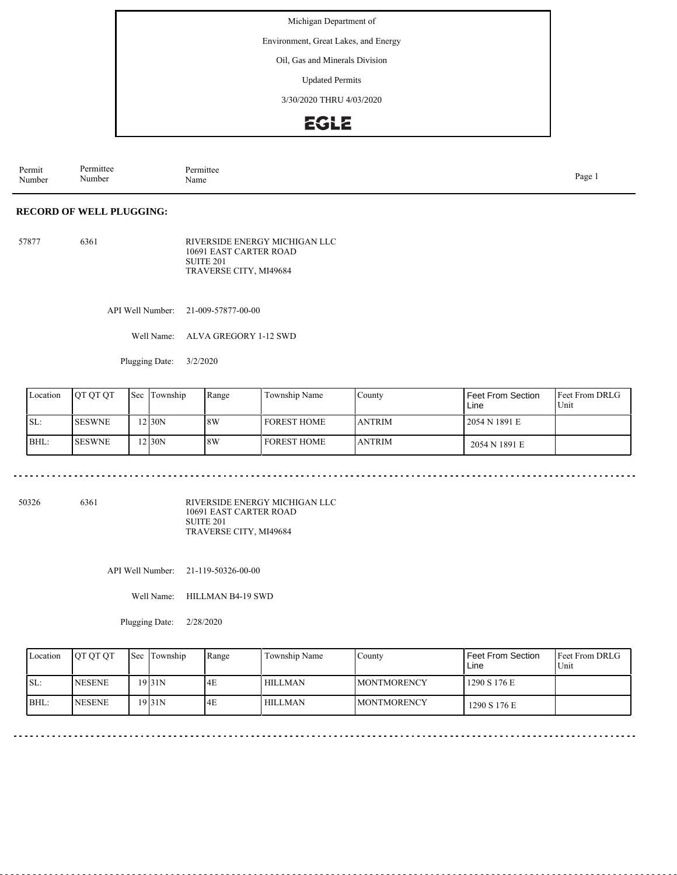Environment, Great Lakes, and Energy

Oil, Gas and Minerals Division

Updated Permits

3/30/2020 THRU 4/03/2020

### **EGLE**

Permit Number Permittee Number Permittee<br>Name Name Page 1

#### **RECORD OF WELL PLUGGING:**

57877 6361 RIVERSIDE ENERGY MICHIGAN LLC 10691 EAST CARTER ROAD SUITE 201 TRAVERSE CITY, MI49684

API Well Number: 21-009-57877-00-00

Well Name: ALVA GREGORY 1-12 SWD

Plugging Date: 3/2/2020

| Location | <b>OT OT OT</b> | <b>Sec</b> | Township | Range | Township Name        | County         | Feet From Section<br>Line | <b>Feet From DRLG</b><br>Unit |
|----------|-----------------|------------|----------|-------|----------------------|----------------|---------------------------|-------------------------------|
| ISL:     | <b>SESWNE</b>   |            | $2$ 30N  | 8W    | <b>I FOREST HOME</b> | <b>LANTRIM</b> | 2054 N 1891 E             |                               |
| BHL:     | <b>SESWNE</b>   |            | $2$ 30N  | 8W    | I FOREST HOME        | <b>JANTRIM</b> | 2054 N 1891 E             |                               |

50326 6361

RIVERSIDE ENERGY MICHIGAN LLC 10691 EAST CARTER ROAD SUITE 201 TRAVERSE CITY, MI49684

API Well Number: 21-119-50326-00-00

Well Name: HILLMAN B4-19 SWD

Plugging Date: 2/28/2020

| Location | <b>IOT OT OT</b> | <b>Sec</b> | Township | Range | Township Name | County              | <b>Feet From Section</b><br>Line | <b>Feet From DRLG</b><br>Unit |
|----------|------------------|------------|----------|-------|---------------|---------------------|----------------------------------|-------------------------------|
| SL:      | <b>NESENE</b>    |            | 19 31 N  | 4E    | HILLMAN       | <b>IMONTMORENCY</b> | 1290 S 176 E                     |                               |
| BHL:     | <b>NESENE</b>    |            | 19 31 N  | 4E    | HILLMAN       | <b>IMONTMORENCY</b> | 1290 S 176 E                     |                               |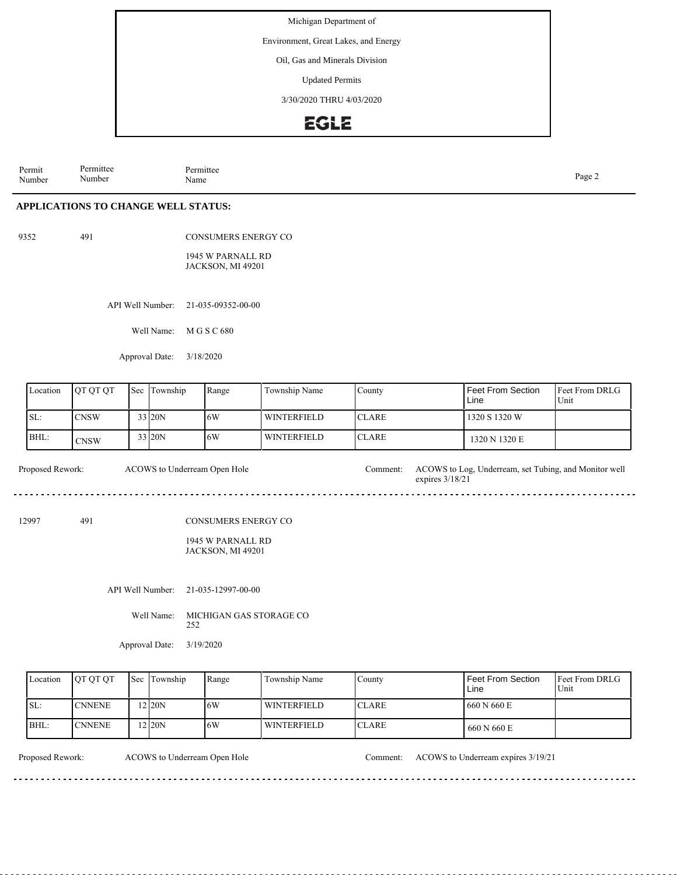Environment, Great Lakes, and Energy

Oil, Gas and Minerals Division

Updated Permits

3/30/2020 THRU 4/03/2020

### **EGLE**

Permit Number Permittee Number Permittee<br>Name Page 2<br>Name

**APPLICATIONS TO CHANGE WELL STATUS:**

9352 491

CONSUMERS ENERGY CO

1945 W PARNALL RD JACKSON, MI 49201

API Well Number: 21-035-09352-00-00

Well Name: M G S C 680

Approval Date: 3/18/2020

| Location | <b>IOT OT OT</b> | <b>Sec</b> Township | Range | Township Name      | County        | Feet From Section<br>Line | <b>Feet From DRLG</b><br>Unit |
|----------|------------------|---------------------|-------|--------------------|---------------|---------------------------|-------------------------------|
| ISL:     | CNSW             | 33 20N              | 16W   | WINTERFIELD        | <b>ICLARE</b> | 1320 S 1320 W             |                               |
| BHL:     | <b>CNSW</b>      | 33 20N              | 16W   | <b>WINTERFIELD</b> | <b>ICLARE</b> | 1320 N 1320 E             |                               |

Proposed Rework: ACOWS to Log, Underream, set Tubing, and Monitor well expires 3/18/21 ACOWS to Underream Open Hole

12997 491

CONSUMERS ENERGY CO

1945 W PARNALL RD JACKSON, MI 49201

API Well Number: 21-035-12997-00-00

Well Name: MICHIGAN GAS STORAGE CO 252

Approval Date: 3/19/2020

| Location | <b>IOT OT OT</b> | <b>Sec Township</b> | Range | Township Name | Countv        | Feet From Section<br>Line | <b>Feet From DRLG</b><br>Unit |
|----------|------------------|---------------------|-------|---------------|---------------|---------------------------|-------------------------------|
| ISL:     | <b>ICNNENE</b>   | $2$ 20N             | 16W   | WINTERFIELD   | ICLARE.       | 1 660 N 660 E             |                               |
| BHL:     | <b>CNNENE</b>    | $2$ 20N             | 16W   | WINTERFIELD   | <b>ICLARE</b> | 660 N 660 E               |                               |

Proposed Rework: ACOWS to Underream Open Hole Comment: ACOWS to Underream expires 3/19/21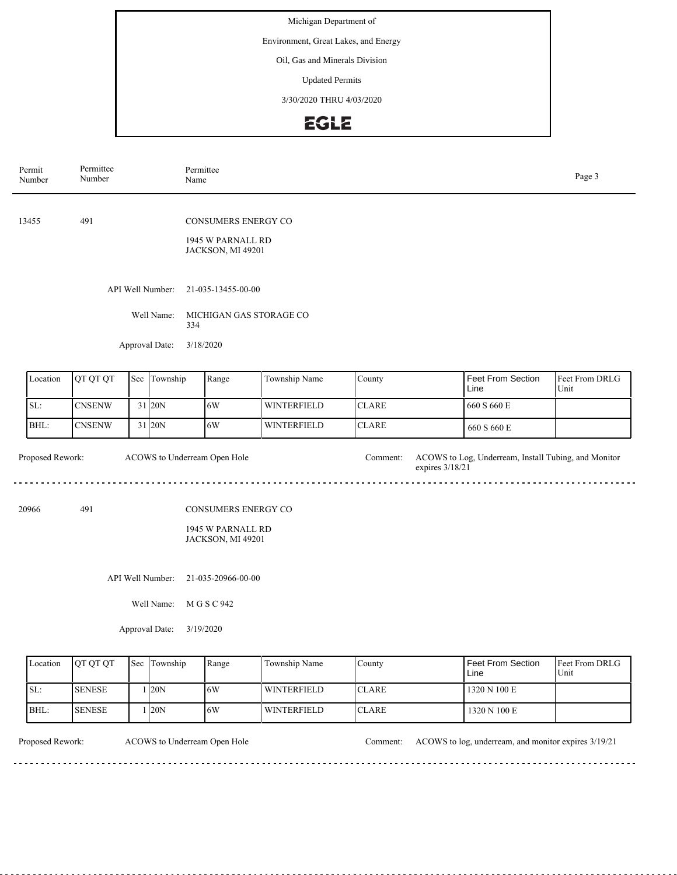Environment, Great Lakes, and Energy

Oil, Gas and Minerals Division

Updated Permits

3/30/2020 THRU 4/03/2020

## EGLE

|                                                  | Permit<br>Number | Permittee<br>Number                                                         |     | Name                                                    | Permittee                                                     |                    |                             | Page 3                                               |                        |  |
|--------------------------------------------------|------------------|-----------------------------------------------------------------------------|-----|---------------------------------------------------------|---------------------------------------------------------------|--------------------|-----------------------------|------------------------------------------------------|------------------------|--|
|                                                  | 13455            | 491                                                                         |     |                                                         | CONSUMERS ENERGY CO<br>1945 W PARNALL RD<br>JACKSON, MI 49201 |                    |                             |                                                      |                        |  |
|                                                  |                  |                                                                             |     | API Well Number:<br>Well Name:<br>334<br>Approval Date: | 21-035-13455-00-00<br>MICHIGAN GAS STORAGE CO<br>3/18/2020    |                    |                             |                                                      |                        |  |
|                                                  | Location         | QT QT QT                                                                    | Sec | Township                                                | Range                                                         | Township Name      | County                      | <b>Feet From Section</b><br>Line                     | Feet From DRLG<br>Unit |  |
|                                                  | SL:              | <b>CNSENW</b>                                                               |     | 31 20N                                                  | 6W                                                            | <b>WINTERFIELD</b> | <b>CLARE</b>                | 660 S 660 E                                          |                        |  |
|                                                  | BHL:             | <b>CNSENW</b>                                                               |     | 31 20N                                                  | 6W                                                            | <b>WINTERFIELD</b> | <b>CLARE</b>                | 660 S 660 E                                          |                        |  |
| Proposed Rework:<br>ACOWS to Underream Open Hole |                  |                                                                             |     |                                                         |                                                               |                    | Comment:<br>expires 3/18/21 | ACOWS to Log, Underream, Install Tubing, and Monitor |                        |  |
|                                                  | 20966            | 491<br><b>CONSUMERS ENERGY CO</b><br>1945 W PARNALL RD<br>JACKSON, MI 49201 |     |                                                         |                                                               |                    |                             |                                                      |                        |  |
| API Well Number:<br>21-035-20966-00-00           |                  |                                                                             |     |                                                         |                                                               |                    |                             |                                                      |                        |  |
| Well Name:<br>M G S C 942                        |                  |                                                                             |     |                                                         |                                                               |                    |                             |                                                      |                        |  |
| Approval Date:                                   |                  |                                                                             |     |                                                         | 3/19/2020                                                     |                    |                             |                                                      |                        |  |
|                                                  | Location         | QT QT QT                                                                    | Sec | Township                                                | Range                                                         | Township Name      | County                      | Feet From Section<br>Line                            | Feet From DRLG<br>Unit |  |

| Location | <b>IOT OT OT</b> | <b>Sec Township</b> | Range | Township Name | County        | l Feet From Section.<br>Line | <b>IFeet From DRLG</b><br>Unit |
|----------|------------------|---------------------|-------|---------------|---------------|------------------------------|--------------------------------|
| SL:      | <b>SENESE</b>    | 120N                | 16W   | WINTERFIELD   | <b>ICLARE</b> | 1320 N 100 E                 |                                |
| BHL:     | <b>SENESE</b>    | 20N                 | 16W   | WINTERFIELD   | <b>ICLARE</b> | 1320 N 100 E                 |                                |

 $\sim$   $\sim$   $\sim$ 

Proposed Rework: ACOWS to Underream Open Hole Comment: ACOWS to log, underream, and monitor expires 3/19/21

<u>. . . . . . .</u>